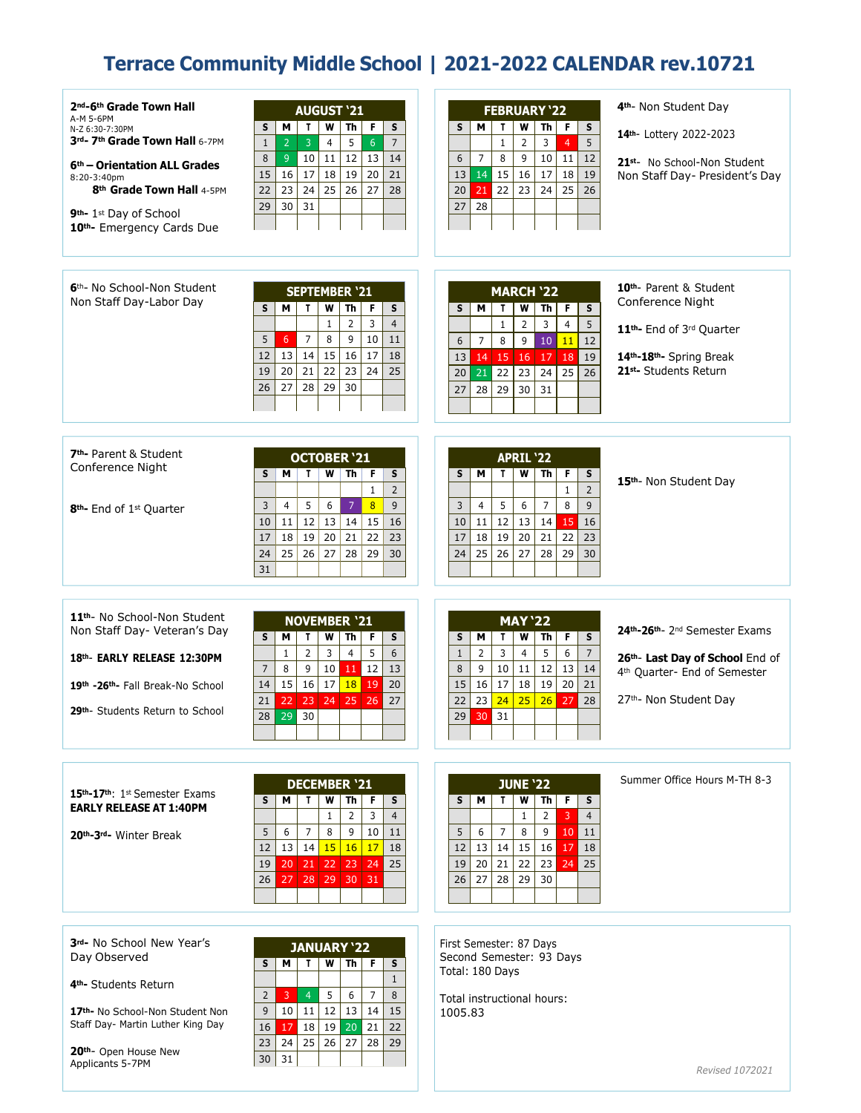## **Terrace Community Middle School | 2021-2022 CALENDAR rev.10721**

| 2 <sup>nd</sup> -6 <sup>th</sup> Grade Town Hall<br>A-M 5-6PM<br>N-Z 6:30-7:30PM<br>3rd- 7th Grade Town Hall 6-7PM<br>6 <sup>th</sup> – Orientation ALL Grades<br>8:20-3:40pm<br>8th Grade Town Hall 4-5PM<br>9 <sup>th</sup> -1 <sup>st</sup> Day of School<br>10th- Emergency Cards Due | <b>AUGUST '21</b><br>Th<br>F<br>S<br>S<br>м<br>T<br>w<br>$\overline{2}$<br>3<br>5<br>$7\overline{ }$<br>$\mathbf{1}$<br>4<br>$6\overline{6}$<br>8<br>$9\,$<br>12<br>13<br>10<br>11<br>14<br>16<br>17<br>15<br>18<br>19<br>20<br>21<br>23<br>24<br>25<br>22<br>26<br>28<br>27<br>30<br>31<br>29       | 4 <sup>th</sup> - Non Student Day<br><b>FEBRUARY '22</b><br>S<br>М<br>W<br>Th<br>F.<br>s<br>Т<br>14th- Lottery 2022-2023<br>5<br>$1\,$<br>$\overline{2}$<br>3<br>4<br>8<br>6<br>$\overline{7}$<br>9<br>10<br>12<br>11<br>21st- No School-Non Student<br>15<br>14<br>16<br>17<br>19<br>13<br>18<br>Non Staff Day- President's Day<br>22<br>21<br>23<br>24<br>25<br>26<br>20<br>28<br>27                                                  |
|-------------------------------------------------------------------------------------------------------------------------------------------------------------------------------------------------------------------------------------------------------------------------------------------|------------------------------------------------------------------------------------------------------------------------------------------------------------------------------------------------------------------------------------------------------------------------------------------------------|-----------------------------------------------------------------------------------------------------------------------------------------------------------------------------------------------------------------------------------------------------------------------------------------------------------------------------------------------------------------------------------------------------------------------------------------|
| 6 <sup>th</sup> - No School-Non Student<br>Non Staff Day-Labor Day                                                                                                                                                                                                                        | <b>SEPTEMBER '21</b><br>S<br>s<br>м<br>T.<br>W<br>Th<br>F<br>$\mathbf{1}$<br>$\overline{2}$<br>3<br>$\overline{4}$<br>5<br>$\overline{7}$<br>8<br>9<br>10<br>11<br>$6\overline{6}$<br>12<br>13<br>14<br>15<br>16<br>17<br>18<br>21<br>22<br>23<br>20<br>24<br>25<br>19<br>27<br>28<br>26<br>29<br>30 | 10 <sup>th</sup> - Parent & Student<br><b>MARCH '22</b><br>Conference Night<br>S<br>S<br>м<br>W<br>Th  <br>F.<br>T.<br>$\mathbf{1}$<br>$\overline{2}$<br>3<br>5<br>$\overline{4}$<br>11 <sup>th</sup> - End of 3rd Quarter<br>7<br>8<br>9<br>10<br>12<br>6<br>11<br>17<br>19<br>13<br>14<br>15 <br>16<br>18<br>14th-18th- Spring Break<br>21st- Students Return<br>25<br>26<br>21<br>22<br>23<br>24<br>20<br>29<br>30<br>28<br>31<br>27 |
| 7 <sup>th</sup> -Parent & Student<br>Conference Night<br>8 <sup>th</sup> - End of 1 <sup>st</sup> Quarter                                                                                                                                                                                 | <b>OCTOBER '21</b><br>м<br>T.<br>W  <br>Th<br>F.<br>s<br>s<br>$\overline{2}$<br>$\mathbf{1}$<br>5<br>6<br>$\overline{7}$<br>8<br>3<br>4<br>9<br>15<br>12<br>13<br>14<br>16<br>10<br>11<br>17<br>18<br>19<br>20<br>21<br>22<br>23<br>25<br>26<br>27<br>28<br>29<br>24<br>30<br>31                     | <b>APRIL '22</b><br>W<br>s<br>М<br>T.<br>Th<br>F.<br>s<br>15th- Non Student Day<br>$\overline{2}$<br>$\mathbf{1}$<br>5<br>$\overline{7}$<br>6<br>8<br>9<br>3<br>4<br>12<br>13<br>14<br>16<br>10<br>11<br>15<br>19<br>23<br>17<br>18<br>20<br>21<br>22<br>25<br>26<br>27<br>28<br>29<br>30<br>24                                                                                                                                         |
| 11 <sup>th</sup> - No School-Non Student<br>Non Staff Day- Veteran's Day<br>18th- EARLY RELEASE 12:30PM<br>19th -26th Fall Break-No School<br>29 <sup>th</sup> - Students Return to School                                                                                                | <b>NOVEMBER '21</b><br>S<br>м<br>W<br>Th<br>S<br>T.<br>F<br>$\overline{2}$<br>$6\overline{6}$<br>$1\,$<br>3<br>5<br>$\overline{4}$<br>7<br>8<br>9<br>10<br>12<br>13<br>11<br>15<br>16<br>17<br>18<br>20<br>14<br>19<br>21<br>22<br>23<br>24<br>25<br>26<br>27<br>29<br>30<br>28 <sup>1</sup>         | <b>MAY '22</b><br>24th-26th- 2nd Semester Exams<br>S<br>S<br>М<br>W<br>Th<br>F.<br>T.<br>$\overline{2}$<br>3<br>5<br>$7\overline{ }$<br>$\overline{4}$<br>6<br>$\mathbf{1}$<br>26th- Last Day of School End of<br>12<br>8<br>9<br>10<br>11<br>13<br>14<br>4th Quarter- End of Semester<br>17<br>15<br>16<br>18<br>19<br>20<br>21<br>26<br>23<br>24<br>25<br>27th- Non Student Day<br>22<br>27<br>28<br>31<br>29<br>30 <sup>°</sup>      |
| 15th-17th: 1st Semester Exams<br><b>EARLY RELEASE AT 1:40PM</b><br>20th-3rd- Winter Break                                                                                                                                                                                                 | <b>DECEMBER '21</b><br>S.<br>W<br>Th<br>м<br>T.<br>F.<br>s<br>$\mathbf{1}$<br>2<br>3<br>$\overline{4}$<br>5<br>7<br>8<br>9<br>10<br>6<br>11<br>13<br>14<br>15<br>16<br>12<br>17<br>18<br> 22 <br>19<br>$20$ 21<br> 23 <br> 24 <br>25<br>26<br>27<br>28<br>29<br>30<br> 31                            | Summer Office Hours M-TH 8-3<br><b>JUNE '22</b><br>Th F<br>м<br>w<br>s<br>S.<br>T.<br>1<br>2<br>3<br>$\overline{4}$<br>5<br>$\overline{7}$<br>8<br>9<br>  11<br>6<br>10<br>15<br>13 <sup>1</sup><br>14<br>16<br>18<br>12<br>17<br>25<br>20<br>21<br>22<br>23<br>19<br>24<br>28<br>29<br>27<br>30<br>26                                                                                                                                  |

**3rd-** No School New Year's Day Observed

**4th-** Students Return

**17th-** No School-Non Student Non Staff Day- Martin Luther King Day

**20th**- Open House New Applicants 5-7PM

| <b>JANUARY '22</b> |    |                |    |           |    |    |  |  |  |
|--------------------|----|----------------|----|-----------|----|----|--|--|--|
| S                  | м  | т              |    | <b>Th</b> | F  | S  |  |  |  |
|                    |    |                |    |           |    |    |  |  |  |
| $\overline{2}$     | 3  | $\overline{4}$ | 5  | 6         | 7  | 8  |  |  |  |
| $\mathsf{q}$       | 10 | 11             | 12 | 13        | 14 | 15 |  |  |  |
| 16                 | 17 | 18             | 19 | 20        | 21 | 22 |  |  |  |
| 23                 | 24 | 25             | 26 | 27        | 28 | 29 |  |  |  |
| 30                 | 31 |                |    |           |    |    |  |  |  |
|                    |    |                |    |           |    |    |  |  |  |

First Semester: 87 Days Second Semester: 93 Days Total: 180 Days

Total instructional hours: 1005.83